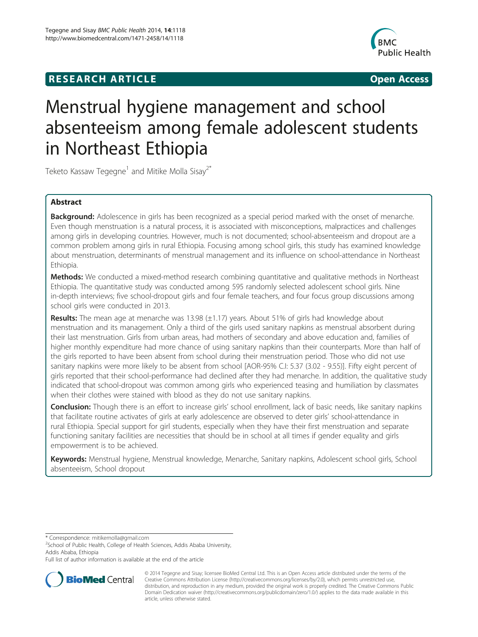# **RESEARCH ARTICLE CONSUMING A RESEARCH ARTICLE**



# Menstrual hygiene management and school absenteeism among female adolescent students in Northeast Ethiopia

Teketo Kassaw Tegegne<sup>1</sup> and Mitike Molla Sisay<sup>2\*</sup>

# Abstract

Background: Adolescence in girls has been recognized as a special period marked with the onset of menarche. Even though menstruation is a natural process, it is associated with misconceptions, malpractices and challenges among girls in developing countries. However, much is not documented; school-absenteeism and dropout are a common problem among girls in rural Ethiopia. Focusing among school girls, this study has examined knowledge about menstruation, determinants of menstrual management and its influence on school-attendance in Northeast Ethiopia.

**Methods:** We conducted a mixed-method research combining quantitative and qualitative methods in Northeast Ethiopia. The quantitative study was conducted among 595 randomly selected adolescent school girls. Nine in-depth interviews; five school-dropout girls and four female teachers, and four focus group discussions among school girls were conducted in 2013.

Results: The mean age at menarche was 13.98 (±1.17) years. About 51% of girls had knowledge about menstruation and its management. Only a third of the girls used sanitary napkins as menstrual absorbent during their last menstruation. Girls from urban areas, had mothers of secondary and above education and, families of higher monthly expenditure had more chance of using sanitary napkins than their counterparts. More than half of the girls reported to have been absent from school during their menstruation period. Those who did not use sanitary napkins were more likely to be absent from school [AOR-95% C.I: 5.37 (3.02 - 9.55)]. Fifty eight percent of girls reported that their school-performance had declined after they had menarche. In addition, the qualitative study indicated that school-dropout was common among girls who experienced teasing and humiliation by classmates when their clothes were stained with blood as they do not use sanitary napkins.

Conclusion: Though there is an effort to increase girls' school enrollment, lack of basic needs, like sanitary napkins that facilitate routine activates of girls at early adolescence are observed to deter girls' school-attendance in rural Ethiopia. Special support for girl students, especially when they have their first menstruation and separate functioning sanitary facilities are necessities that should be in school at all times if gender equality and girls empowerment is to be achieved.

Keywords: Menstrual hygiene, Menstrual knowledge, Menarche, Sanitary napkins, Adolescent school girls, School absenteeism, School dropout

\* Correspondence: [mitikemolla@gmail.com](mailto:mitikemolla@gmail.com) <sup>2</sup>

<sup>2</sup>School of Public Health, College of Health Sciences, Addis Ababa University, Addis Ababa, Ethiopia

Full list of author information is available at the end of the article



<sup>© 2014</sup> Tegegne and Sisay; licensee BioMed Central Ltd. This is an Open Access article distributed under the terms of the Creative Commons Attribution License (<http://creativecommons.org/licenses/by/2.0>), which permits unrestricted use, distribution, and reproduction in any medium, provided the original work is properly credited. The Creative Commons Public Domain Dedication waiver [\(http://creativecommons.org/publicdomain/zero/1.0/\)](http://creativecommons.org/publicdomain/zero/1.0/) applies to the data made available in this article, unless otherwise stated.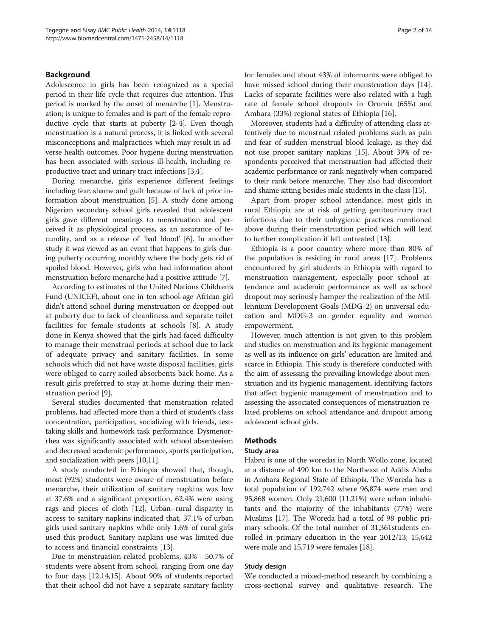# Background

Adolescence in girls has been recognized as a special period in their life cycle that requires due attention. This period is marked by the onset of menarche [\[1](#page-12-0)]. Menstruation; is unique to females and is part of the female reproductive cycle that starts at puberty [\[2](#page-12-0)-[4\]](#page-12-0). Even though menstruation is a natural process, it is linked with several misconceptions and malpractices which may result in adverse health outcomes. Poor hygiene during menstruation has been associated with serious ill-health, including reproductive tract and urinary tract infections [\[3,4\]](#page-12-0).

During menarche, girls experience different feelings including fear, shame and guilt because of lack of prior information about menstruation [\[5](#page-12-0)]. A study done among Nigerian secondary school girls revealed that adolescent girls gave different meanings to menstruation and perceived it as physiological process, as an assurance of fecundity, and as a release of 'bad blood' [\[6\]](#page-12-0). In another study it was viewed as an event that happens to girls during puberty occurring monthly where the body gets rid of spoiled blood. However, girls who had information about menstruation before menarche had a positive attitude [\[7\]](#page-12-0).

According to estimates of the United Nations Children's Fund (UNICEF), about one in ten school-age African girl didn't attend school during menstruation or dropped out at puberty due to lack of cleanliness and separate toilet facilities for female students at schools [[8\]](#page-12-0). A study done in Kenya showed that the girls had faced difficulty to manage their menstrual periods at school due to lack of adequate privacy and sanitary facilities. In some schools which did not have waste disposal facilities, girls were obliged to carry soiled absorbents back home. As a result girls preferred to stay at home during their menstruation period [[9\]](#page-12-0).

Several studies documented that menstruation related problems, had affected more than a third of student's class concentration, participation, socializing with friends, testtaking skills and homework task performance. Dysmenorrhea was significantly associated with school absenteeism and decreased academic performance, sports participation, and socialization with peers [[10,11\]](#page-13-0).

A study conducted in Ethiopia showed that, though, most (92%) students were aware of menstruation before menarche, their utilization of sanitary napkins was low at 37.6% and a significant proportion, 62.4% were using rags and pieces of cloth [[12](#page-13-0)]. Urban–rural disparity in access to sanitary napkins indicated that, 37.1% of urban girls used sanitary napkins while only 1.6% of rural girls used this product. Sanitary napkins use was limited due to access and financial constraints [[13](#page-13-0)].

Due to menstruation related problems, 43% - 50.7% of students were absent from school, ranging from one day to four days [[12,14,15\]](#page-13-0). About 90% of students reported that their school did not have a separate sanitary facility

for females and about 43% of informants were obliged to have missed school during their menstruation days [\[14](#page-13-0)]. Lacks of separate facilities were also related with a high rate of female school dropouts in Oromia (65%) and Amhara (33%) regional states of Ethiopia [[16\]](#page-13-0).

Moreover, students had a difficulty of attending class attentively due to menstrual related problems such as pain and fear of sudden menstrual blood leakage, as they did not use proper sanitary napkins [\[15\]](#page-13-0). About 39% of respondents perceived that menstruation had affected their academic performance or rank negatively when compared to their rank before menarche. They also had discomfort and shame sitting besides male students in the class [[15](#page-13-0)].

Apart from proper school attendance, most girls in rural Ethiopia are at risk of getting genitourinary tract infections due to their unhygienic practices mentioned above during their menstruation period which will lead to further complication if left untreated [[13\]](#page-13-0).

Ethiopia is a poor country where more than 80% of the population is residing in rural areas [[17\]](#page-13-0). Problems encountered by girl students in Ethiopia with regard to menstruation management, especially poor school attendance and academic performance as well as school dropout may seriously hamper the realization of the Millennium Development Goals (MDG-2) on universal education and MDG-3 on gender equality and women empowerment.

However, much attention is not given to this problem and studies on menstruation and its hygienic management as well as its influence on girls' education are limited and scarce in Ethiopia. This study is therefore conducted with the aim of assessing the prevailing knowledge about menstruation and its hygienic management, identifying factors that affect hygienic management of menstruation and to assessing the associated consequences of menstruation related problems on school attendance and dropout among adolescent school girls.

# Methods

#### Study area

Habru is one of the woredas in North Wollo zone, located at a distance of 490 km to the Northeast of Addis Ababa in Amhara Regional State of Ethiopia. The Woreda has a total population of 192,742 where 96,874 were men and 95,868 women. Only 21,600 (11.21%) were urban inhabitants and the majority of the inhabitants (77%) were Muslims [\[17](#page-13-0)]. The Woreda had a total of 98 public primary schools. Of the total number of 31,361students enrolled in primary education in the year 2012/13; 15,642 were male and 15,719 were females [\[18\]](#page-13-0).

#### Study design

We conducted a mixed-method research by combining a cross-sectional survey and qualitative research. The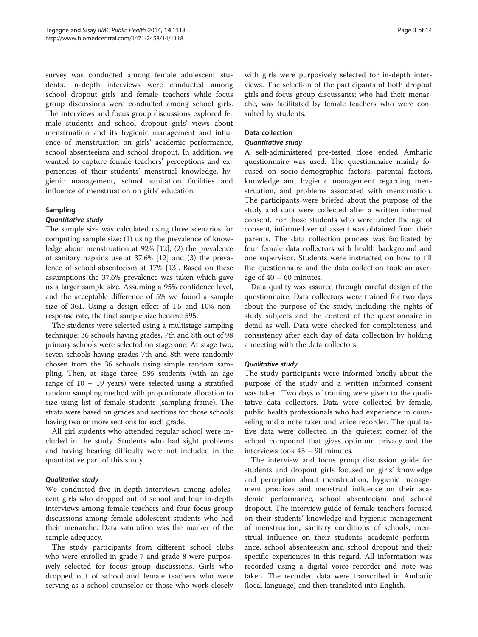survey was conducted among female adolescent students. In-depth interviews were conducted among school dropout girls and female teachers while focus group discussions were conducted among school girls. The interviews and focus group discussions explored female students and school dropout girls' views about menstruation and its hygienic management and influence of menstruation on girls' academic performance, school absenteeism and school dropout. In addition, we wanted to capture female teachers' perceptions and experiences of their students' menstrual knowledge, hygienic management, school sanitation facilities and influence of menstruation on girls' education.

#### Sampling

# Quantitative study

The sample size was calculated using three scenarios for computing sample size: (1) using the prevalence of knowledge about menstruation at 92% [[12](#page-13-0)], (2) the prevalence of sanitary napkins use at 37.6% [[12](#page-13-0)] and (3) the prevalence of school-absenteeism at 17% [[13](#page-13-0)]. Based on these assumptions the 37.6% prevalence was taken which gave us a larger sample size. Assuming a 95% confidence level, and the acceptable difference of 5% we found a sample size of 361. Using a design effect of 1.5 and 10% nonresponse rate, the final sample size became 595.

The students were selected using a multistage sampling technique: 36 schools having grades, 7th and 8th out of 98 primary schools were selected on stage one. At stage two, seven schools having grades 7th and 8th were randomly chosen from the 36 schools using simple random sampling. Then, at stage three, 595 students (with an age range of 10 – 19 years) were selected using a stratified random sampling method with proportionate allocation to size using list of female students (sampling frame). The strata were based on grades and sections for those schools having two or more sections for each grade.

All girl students who attended regular school were included in the study. Students who had sight problems and having hearing difficulty were not included in the quantitative part of this study.

# Qualitative study

We conducted five in-depth interviews among adolescent girls who dropped out of school and four in-depth interviews among female teachers and four focus group discussions among female adolescent students who had their menarche. Data saturation was the marker of the sample adequacy.

The study participants from different school clubs who were enrolled in grade 7 and grade 8 were purposively selected for focus group discussions. Girls who dropped out of school and female teachers who were serving as a school counselor or those who work closely with girls were purposively selected for in-depth interviews. The selection of the participants of both dropout girls and focus group discussants; who had their menarche, was facilitated by female teachers who were consulted by students.

# Data collection

# Quantitative study

A self-administered pre-tested close ended Amharic questionnaire was used. The questionnaire mainly focused on socio-demographic factors, parental factors, knowledge and hygienic management regarding menstruation, and problems associated with menstruation. The participants were briefed about the purpose of the study and data were collected after a written informed consent. For those students who were under the age of consent, informed verbal assent was obtained from their parents. The data collection process was facilitated by four female data collectors with health background and one supervisor. Students were instructed on how to fill the questionnaire and the data collection took an average of  $40 - 60$  minutes.

Data quality was assured through careful design of the questionnaire. Data collectors were trained for two days about the purpose of the study, including the rights of study subjects and the content of the questionnaire in detail as well. Data were checked for completeness and consistency after each day of data collection by holding a meeting with the data collectors.

# Qualitative study

The study participants were informed briefly about the purpose of the study and a written informed consent was taken. Two days of training were given to the qualitative data collectors. Data were collected by female, public health professionals who had experience in counseling and a note taker and voice recorder. The qualitative data were collected in the quietest corner of the school compound that gives optimum privacy and the interviews took 45 – 90 minutes.

The interview and focus group discussion guide for students and dropout girls focused on girls' knowledge and perception about menstruation, hygienic management practices and menstrual influence on their academic performance, school absenteeism and school dropout. The interview guide of female teachers focused on their students' knowledge and hygienic management of menstruation, sanitary conditions of schools, menstrual influence on their students' academic performance, school absenteeism and school dropout and their specific experiences in this regard. All information was recorded using a digital voice recorder and note was taken. The recorded data were transcribed in Amharic (local language) and then translated into English.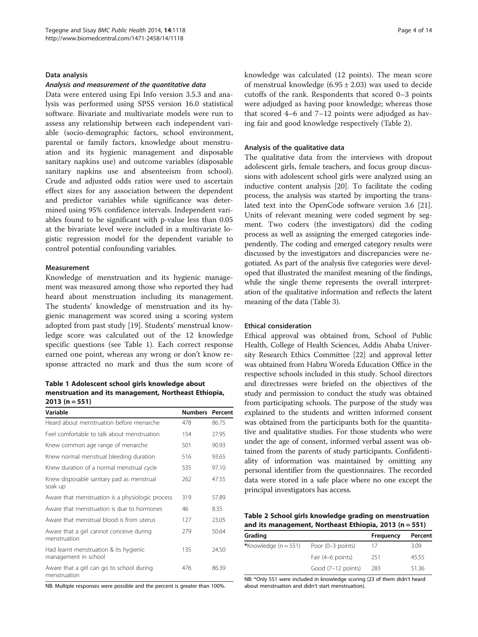#### <span id="page-3-0"></span>Data analysis

#### Analysis and measurement of the quantitative data

Data were entered using Epi Info version 3.5.3 and analysis was performed using SPSS version 16.0 statistical software. Bivariate and multivariate models were run to assess any relationship between each independent variable (socio-demographic factors, school environment, parental or family factors, knowledge about menstruation and its hygienic management and disposable sanitary napkins use) and outcome variables (disposable sanitary napkins use and absenteeism from school). Crude and adjusted odds ratios were used to ascertain effect sizes for any association between the dependent and predictor variables while significance was determined using 95% confidence intervals. Independent variables found to be significant with p-value less than 0.05 at the bivariate level were included in a multivariate logistic regression model for the dependent variable to control potential confounding variables.

#### Measurement

Knowledge of menstruation and its hygienic management was measured among those who reported they had heard about menstruation including its management. The students' knowledge of menstruation and its hygienic management was scored using a scoring system adopted from past study [[19](#page-13-0)]. Students' menstrual knowledge score was calculated out of the 12 knowledge specific questions (see Table 1). Each correct response earned one point, whereas any wrong or don't know response attracted no mark and thus the sum score of

Table 1 Adolescent school girls knowledge about menstruation and its management, Northeast Ethiopia, 2013 (n = 551)

| Variable                                                       | <b>Numbers Percent</b> |       |
|----------------------------------------------------------------|------------------------|-------|
| Heard about menstruation before menarche                       | 478                    | 86.75 |
| Feel comfortable to talk about menstruation                    | 154                    | 27.95 |
| Knew common age range of menarche                              | 501                    | 90.93 |
| Knew normal menstrual bleeding duration                        | 516                    | 93.65 |
| Knew duration of a normal menstrual cycle                      | 535                    | 97.10 |
| Knew disposable sanitary pad as menstrual<br>soak up           | 262                    | 47.55 |
| Aware that menstruation is a physiologic process               | 319                    | 57.89 |
| Aware that menstruation is due to hormones                     | 46                     | 8.35  |
| Aware that menstrual blood is from uterus                      | 127                    | 23.05 |
| Aware that a girl cannot conceive during<br>menstruation       | 279                    | 50.64 |
| Had learnt menstruation & its hygienic<br>management in school | 135                    | 24.50 |
| Aware that a girl can go to school during<br>menstruation      | 476                    | 86.39 |
|                                                                |                        |       |

NB: Multiple responses were possible and the percent is greater than 100%.

knowledge was calculated (12 points). The mean score of menstrual knowledge  $(6.95 \pm 2.03)$  was used to decide cutoffs of the rank. Respondents that scored 0–3 points were adjudged as having poor knowledge; whereas those that scored 4–6 and 7–12 points were adjudged as having fair and good knowledge respectively (Table 2).

#### Analysis of the qualitative data

The qualitative data from the interviews with dropout adolescent girls, female teachers, and focus group discussions with adolescent school girls were analyzed using an inductive content analysis [\[20\]](#page-13-0). To facilitate the coding process, the analysis was started by importing the translated text into the OpenCode software version 3.6 [[21](#page-13-0)]. Units of relevant meaning were coded segment by segment. Two coders (the investigators) did the coding process as well as assigning the emerged categories independently. The coding and emerged category results were discussed by the investigators and discrepancies were negotiated. As part of the analysis five categories were developed that illustrated the manifest meaning of the findings, while the single theme represents the overall interpretation of the qualitative information and reflects the latent meaning of the data (Table [3](#page-4-0)).

# Ethical consideration

Ethical approval was obtained from, School of Public Health, College of Health Sciences, Addis Ababa University Research Ethics Committee [\[22\]](#page-13-0) and approval letter was obtained from Habru Woreda Education Office in the respective schools included in this study. School directors and directresses were briefed on the objectives of the study and permission to conduct the study was obtained from participating schools. The purpose of the study was explained to the students and written informed consent was obtained from the participants both for the quantitative and qualitative studies. For those students who were under the age of consent, informed verbal assent was obtained from the parents of study participants. Confidentiality of information was maintained by omitting any personal identifier from the questionnaires. The recorded data were stored in a safe place where no one except the principal investigators has access.

Table 2 School girls knowledge grading on menstruation and its management, Northeast Ethiopia, 2013 (n = 551)

| Grading                |                    | Frequency | Percent |  |
|------------------------|--------------------|-----------|---------|--|
| *Knowledge $(n = 551)$ | Poor (0-3 points)  |           | 3.09    |  |
|                        | Fair (4–6 points)  | 251       | 45.55   |  |
|                        | Good (7-12 points) | 283       | 51.36   |  |

NB: \*Only 551 were included in knowledge scoring (23 of them didn't heard about menstruation and didn't start menstruation).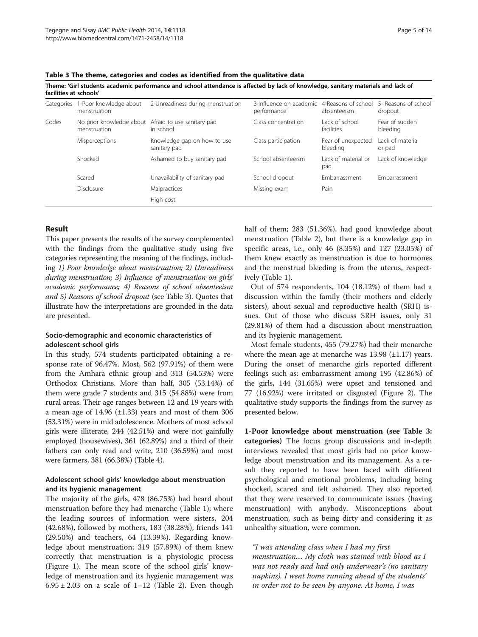<span id="page-4-0"></span>Table 3 The theme, categories and codes as identified from the qualitative data

| facilities at schools' |                                                                     | Theme: 'Girl students academic performance and school attendance is affected by lack of knowledge, sanitary materials and lack of |                                                            |                                |                                 |
|------------------------|---------------------------------------------------------------------|-----------------------------------------------------------------------------------------------------------------------------------|------------------------------------------------------------|--------------------------------|---------------------------------|
|                        | Categories 1-Poor knowledge about<br>menstruation                   | 2-Unreadiness during menstruation                                                                                                 | 3-Influence on academic 4-Reasons of school<br>performance | absenteeism                    | 5- Reasons of school<br>dropout |
| Codes                  | No prior knowledge about Afraid to use sanitary pad<br>menstruation | in school                                                                                                                         | Class concentration                                        | Lack of school<br>facilities   | Fear of sudden<br>bleeding      |
|                        | Misperceptions                                                      | Knowledge gap on how to use<br>sanitary pad                                                                                       | Class participation                                        | Fear of unexpected<br>bleeding | Lack of material<br>or pad      |
|                        | Shocked                                                             | Ashamed to buy sanitary pad                                                                                                       | School absenteeism                                         | Lack of material or<br>pad     | Lack of knowledge               |
|                        | Scared                                                              | Unavailability of sanitary pad                                                                                                    | School dropout                                             | Embarrassment                  | Embarrassment                   |
|                        | Disclosure                                                          | Malpractices                                                                                                                      | Missing exam                                               | Pain                           |                                 |
|                        |                                                                     | High cost                                                                                                                         |                                                            |                                |                                 |

#### Result

This paper presents the results of the survey complemented with the findings from the qualitative study using five categories representing the meaning of the findings, including 1) Poor knowledge about menstruation; 2) Unreadiness during menstruation; 3) Influence of menstruation on girls' academic performance; 4) Reasons of school absenteeism and 5) Reasons of school dropout (see Table 3). Quotes that illustrate how the interpretations are grounded in the data are presented.

# Socio-demographic and economic characteristics of adolescent school girls

In this study, 574 students participated obtaining a response rate of 96.47%. Most, 562 (97.91%) of them were from the Amhara ethnic group and 313 (54.53%) were Orthodox Christians. More than half, 305 (53.14%) of them were grade 7 students and 315 (54.88%) were from rural areas. Their age ranges between 12 and 19 years with a mean age of  $14.96$  ( $\pm 1.33$ ) years and most of them 306 (53.31%) were in mid adolescence. Mothers of most school girls were illiterate, 244 (42.51%) and were not gainfully employed (housewives), 361 (62.89%) and a third of their fathers can only read and write, 210 (36.59%) and most were farmers, 381 (66.38%) (Table [4\)](#page-5-0).

# Adolescent school girls' knowledge about menstruation and its hygienic management

The majority of the girls, 478 (86.75%) had heard about menstruation before they had menarche (Table [1\)](#page-3-0); where the leading sources of information were sisters, 204 (42.68%), followed by mothers, 183 (38.28%), friends 141 (29.50%) and teachers, 64 (13.39%). Regarding knowledge about menstruation; 319 (57.89%) of them knew correctly that menstruation is a physiologic process (Figure [1](#page-5-0)). The mean score of the school girls' knowledge of menstruation and its hygienic management was  $6.95 \pm 2.03$  $6.95 \pm 2.03$  $6.95 \pm 2.03$  on a scale of 1-12 (Table 2). Even though half of them; 283 (51.36%), had good knowledge about menstruation (Table [2\)](#page-3-0), but there is a knowledge gap in specific areas, i.e., only 46 (8.35%) and 127 (23.05%) of them knew exactly as menstruation is due to hormones and the menstrual bleeding is from the uterus, respectively (Table [1](#page-3-0)).

Out of 574 respondents, 104 (18.12%) of them had a discussion within the family (their mothers and elderly sisters), about sexual and reproductive health (SRH) issues. Out of those who discuss SRH issues, only 31 (29.81%) of them had a discussion about menstruation and its hygienic management.

Most female students, 455 (79.27%) had their menarche where the mean age at menarche was  $13.98$  ( $\pm$ 1.17) years. During the onset of menarche girls reported different feelings such as: embarrassment among 195 (42.86%) of the girls, 144 (31.65%) were upset and tensioned and 77 (16.92%) were irritated or disgusted (Figure [2\)](#page-6-0). The qualitative study supports the findings from the survey as presented below.

1-Poor knowledge about menstruation (see Table 3: categories) The focus group discussions and in-depth interviews revealed that most girls had no prior knowledge about menstruation and its management. As a result they reported to have been faced with different psychological and emotional problems, including being shocked, scared and felt ashamed. They also reported that they were reserved to communicate issues (having menstruation) with anybody. Misconceptions about menstruation, such as being dirty and considering it as unhealthy situation, were common.

"I was attending class when I had my first menstruation.... My cloth was stained with blood as I was not ready and had only underwear's (no sanitary napkins). I went home running ahead of the students' in order not to be seen by anyone. At home, I was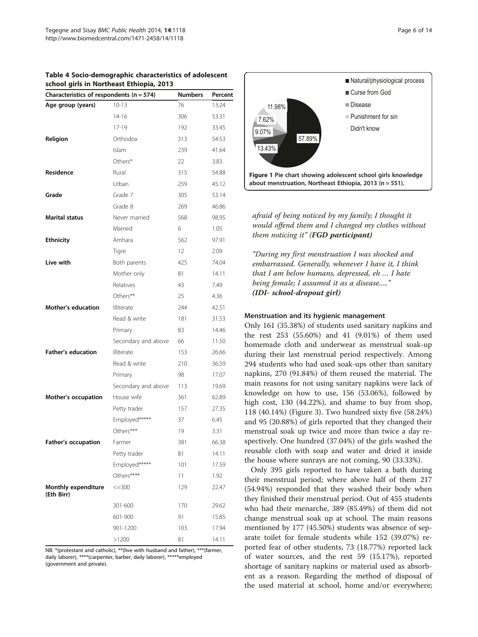| Characteristics of respondents ( $n = 574$ ) |                     | <b>Numbers</b>    | Percent |  |
|----------------------------------------------|---------------------|-------------------|---------|--|
| Age group (years)                            | $10 - 13$           | 76                | 13.24   |  |
|                                              | $14 - 16$           | 306               | 53.31   |  |
|                                              | 17-19               | 192               | 33.45   |  |
| Religion                                     | Orthodox            | 313               | 54.53   |  |
|                                              | Islam               | 239               | 41.64   |  |
|                                              | Others*             | 22                | 3.83    |  |
| Residence                                    | Rural               | 315               | 54.88   |  |
|                                              | Urban               | 259               | 45.12   |  |
| Grade                                        | Grade 7             | 305               | 53.14   |  |
|                                              | Grade 8             | 269               | 46.86   |  |
| <b>Marital status</b>                        | Never married       | 568               | 98.95   |  |
|                                              | Married             | 6                 | 1.05    |  |
| <b>Ethnicity</b>                             | Amhara              | 562               | 97.91   |  |
|                                              | Tigre               | $12 \overline{ }$ | 2.09    |  |
| Live with                                    | Both parents        | 425               | 74.04   |  |
|                                              | Mother only         | 81                | 14.11   |  |
|                                              | Relatives           | 43                | 7.49    |  |
|                                              | Others**            | 25                | 4.36    |  |
| <b>Mother's education</b>                    | Illiterate          | 244               | 42.51   |  |
|                                              | Read & write        | 181               | 31.53   |  |
|                                              | Primary             | 83                | 14.46   |  |
|                                              | Secondary and above | 66                | 11.50   |  |
| <b>Father's education</b>                    | Illiterate          | 153               | 26.66   |  |
|                                              | Read & write        | 210               | 36.59   |  |
|                                              | Primary             | 98                | 17.07   |  |
|                                              | Secondary and above | 113               | 19.69   |  |
| Mother's occupation                          | House wife          | 361               | 62.89   |  |
|                                              | Petty trader        | 157               | 27.35   |  |
|                                              | Employed*****       | 37                | 6.45    |  |
|                                              | Others***           | 19                | 3.31    |  |
| Father's occupation                          | Farmer              | 381               | 66.38   |  |
|                                              | Petty trader        | 81                | 14.11   |  |
|                                              | Employed*****       | 101               | 17.59   |  |
|                                              | Others****          | 11                | 1.92    |  |
| Monthly expenditure<br>(Eth Birr)            | $\leq$ = 300        | 129               | 22.47   |  |
|                                              | 301-600             | 170               | 29.62   |  |
|                                              | 601-900             | 91                | 15.85   |  |
|                                              | 901-1200            | 103               | 17.94   |  |
|                                              | >1200               | 81                | 14.11   |  |

<span id="page-5-0"></span>

| Table 4 Socio-demographic characteristics of adolescent |
|---------------------------------------------------------|
| school girls in Northeast Ethiopia, 2013                |

NB: \*(protestant and catholic), \*\*(live with husband and father), \*\*\*(farmer, daily laborer), \*\*\*\*(carpenter, barber, daily laborer), \*\*\*\*\*employed (government and private).



afraid of being noticed by my family; I thought it would offend them and I changed my clothes without them noticing it" (FGD participant)

"During my first menstruation I was shocked and embarrassed. Generally, whenever I have it, I think that I am below humans, depressed, eh … I hate being female; I assumed it as a disease....." (IDI- school-dropout girl)

#### Menstruation and its hygienic management

Only 161 (35.38%) of students used sanitary napkins and the rest 253 (55.60%) and 41 (9.01%) of them used homemade cloth and underwear as menstrual soak-up during their last menstrual period respectively. Among 294 students who had used soak-ups other than sanitary napkins, 270 (91.84%) of them reused the material. The main reasons for not using sanitary napkins were lack of knowledge on how to use, 156 (53.06%), followed by high cost, 130 (44.22%), and shame to buy from shop, 118 (40.14%) (Figure [3](#page-6-0)). Two hundred sixty five (58.24%) and 95 (20.88%) of girls reported that they changed their menstrual soak up twice and more than twice a day respectively. One hundred (37.04%) of the girls washed the reusable cloth with soap and water and dried it inside the house where sunrays are not coming, 90 (33.33%).

Only 395 girls reported to have taken a bath during their menstrual period; where above half of them 217 (54.94%) responded that they washed their body when they finished their menstrual period. Out of 455 students who had their menarche, 389 (85.49%) of them did not change menstrual soak up at school. The main reasons mentioned by 177 (45.50%) students was absence of separate toilet for female students while 152 (39.07%) reported fear of other students, 73 (18.77%) reported lack of water sources, and the rest 59 (15.17%), reported shortage of sanitary napkins or material used as absorbent as a reason. Regarding the method of disposal of the used material at school, home and/or everywhere;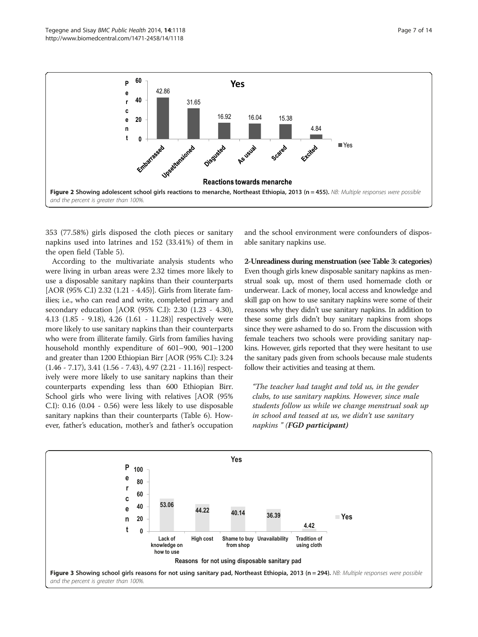<span id="page-6-0"></span>

353 (77.58%) girls disposed the cloth pieces or sanitary napkins used into latrines and 152 (33.41%) of them in the open field (Table [5](#page-7-0)).

According to the multivariate analysis students who were living in urban areas were 2.32 times more likely to use a disposable sanitary napkins than their counterparts [AOR (95% C.I) 2.32 (1.21 - 4.45)]. Girls from literate families; i.e., who can read and write, completed primary and secondary education [AOR (95% C.I): 2.30 (1.23 - 4.30), 4.13 (1.85 - 9.18), 4.26 (1.61 - 11.28)] respectively were more likely to use sanitary napkins than their counterparts who were from illiterate family. Girls from families having household monthly expenditure of 601–900, 901–1200 and greater than 1200 Ethiopian Birr [AOR (95% C.I): 3.24 (1.46 - 7.17), 3.41 (1.56 - 7.43), 4.97 (2.21 - 11.16)] respectively were more likely to use sanitary napkins than their counterparts expending less than 600 Ethiopian Birr. School girls who were living with relatives [AOR (95% C.I): 0.16 (0.04 - 0.56) were less likely to use disposable sanitary napkins than their counterparts (Table [6\)](#page-8-0). However, father's education, mother's and father's occupation and the school environment were confounders of disposable sanitary napkins use.

2-Unreadiness during menstruation (see Table [3](#page-4-0): categories) Even though girls knew disposable sanitary napkins as menstrual soak up, most of them used homemade cloth or underwear. Lack of money, local access and knowledge and skill gap on how to use sanitary napkins were some of their reasons why they didn't use sanitary napkins. In addition to these some girls didn't buy sanitary napkins from shops since they were ashamed to do so. From the discussion with female teachers two schools were providing sanitary napkins. However, girls reported that they were hesitant to use the sanitary pads given from schools because male students follow their activities and teasing at them.

"The teacher had taught and told us, in the gender clubs, to use sanitary napkins. However, since male students follow us while we change menstrual soak up in school and teased at us, we didn't use sanitary napkins " (FGD participant)

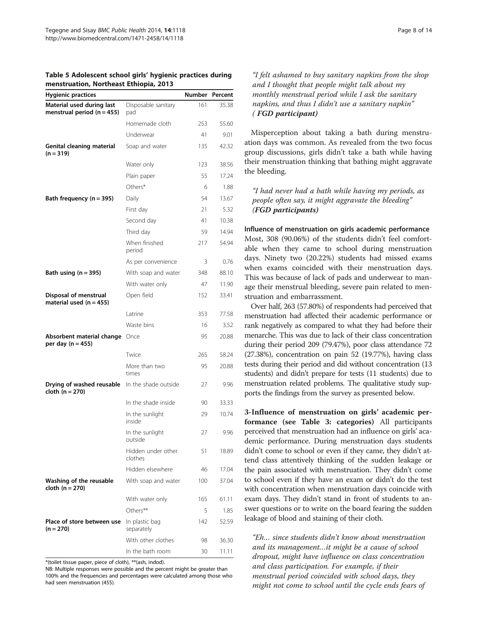| <b>Hygienic practices</b>                                   |                               | Number | Percent |
|-------------------------------------------------------------|-------------------------------|--------|---------|
| Material used during last<br>menstrual period ( $n = 455$ ) | Disposable sanitary<br>pad    | 161    | 35.38   |
|                                                             | Homemade cloth                | 253    | 55.60   |
|                                                             | Underwear                     | 41     | 9.01    |
| Genital cleaning material<br>$(n = 319)$                    | Soap and water                | 135    | 42.32   |
|                                                             | Water only                    | 123    | 38.56   |
|                                                             | Plain paper                   | 55     | 17.24   |
|                                                             | Others*                       | 6      | 1.88    |
| Bath frequency ( $n = 395$ )                                | Daily                         | 54     | 13.67   |
|                                                             | First day                     | 21     | 5.32    |
|                                                             | Second day                    | 41     | 10.38   |
|                                                             | Third day                     | 59     | 14.94   |
|                                                             | When finished<br>period       | 217    | 54.94   |
|                                                             | As per convenience            | 3      | 0.76    |
| Bath using $(n = 395)$                                      | With soap and water           | 348    | 88.10   |
|                                                             | With water only               | 47     | 11.90   |
| Disposal of menstrual<br>material used $(n = 455)$          | Open field                    | 152    | 33.41   |
|                                                             | Latrine                       | 353    | 77.58   |
|                                                             | Waste bins                    | 16     | 3.52    |
| Absorbent material change<br>per day (n = 455)              | Once                          | 95     | 20.88   |
|                                                             | Twice                         | 265    | 58.24   |
|                                                             | More than two<br>times        | 95     | 20.88   |
| Drying of washed reusable<br>cloth (n = 270)                | In the shade outside          | 27     | 9.96    |
|                                                             | In the shade inside           | 90     | 33.33   |
|                                                             | In the sunlight<br>inside     | 29     | 10.74   |
|                                                             | In the sunlight<br>outside    | 27     | 9.96    |
|                                                             | Hidden under other<br>clothes | 51     | 18.89   |
|                                                             | Hidden elsewhere              | 46     | 17.04   |
| Washing of the reusable<br>cloth $(n = 270)$                | With soap and water           | 100    | 37.04   |
|                                                             | With water only               | 165    | 61.11   |
|                                                             | Others**                      | 5      | 1.85    |
| Place of store between use<br>$(n = 270)$                   | In plastic bag<br>separately  | 142    | 52.59   |
|                                                             | With other clothes            | 98     | 36.30   |
|                                                             | In the bath room              | 30     | 11.11   |

<span id="page-7-0"></span>Table 5 Adolescent school girls' hygienic practices during menstruation, Northeast Ethiopia, 2013

\*(toilet tissue paper, piece of cloth), \*\*(ash, indod).

NB: Multiple responses were possible and the percent might be greater than 100% and the frequencies and percentages were calculated among those who had seen menstruation (455).

"I felt ashamed to buy sanitary napkins from the shop and I thought that people might talk about my monthly menstrual period while I ask the sanitary napkins, and thus I didn't use a sanitary napkin" ( FGD participant)

Misperception about taking a bath during menstruation days was common. As revealed from the two focus group discussions, girls didn't take a bath while having their menstruation thinking that bathing might aggravate the bleeding.

"I had never had a bath while having my periods, as people often say, it might aggravate the bleeding" (FGD participants)

Influence of menstruation on girls academic performance Most, 308 (90.06%) of the students didn't feel comfortable when they came to school during menstruation days. Ninety two (20.22%) students had missed exams when exams coincided with their menstruation days. This was because of lack of pads and underwear to manage their menstrual bleeding, severe pain related to menstruation and embarrassment.

Over half, 263 (57.80%) of respondents had perceived that menstruation had affected their academic performance or rank negatively as compared to what they had before their menarche. This was due to lack of their class concentration during their period 209 (79.47%), poor class attendance 72 (27.38%), concentration on pain 52 (19.77%), having class tests during their period and did without concentration (13 students) and didn't prepare for tests (11 students) due to menstruation related problems. The qualitative study supports the findings from the survey as presented below.

3-Influence of menstruation on girls' academic performance (see Table [3:](#page-4-0) categories) All participants perceived that menstruation had an influence on girls' academic performance. During menstruation days students didn't come to school or even if they came, they didn't attend class attentively thinking of the sudden leakage or the pain associated with menstruation. They didn't come to school even if they have an exam or didn't do the test with concentration when menstruation days coincide with exam days. They didn't stand in front of students to answer questions or to write on the board fearing the sudden leakage of blood and staining of their cloth.

"Eh… since students didn't know about menstruation and its management…it might be a cause of school dropout, might have influence on class concentration and class participation. For example, if their menstrual period coincided with school days, they might not come to school until the cycle ends fears of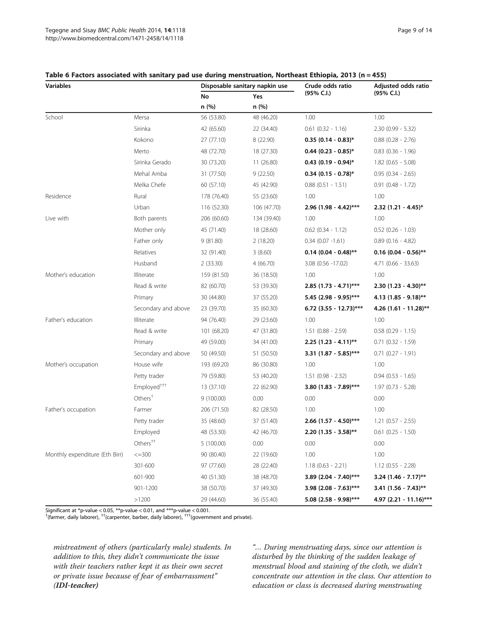| <b>Variables</b>    |                           | Disposable sanitary napkin use |             | Crude odds ratio         | Adjusted odds ratio      |
|---------------------|---------------------------|--------------------------------|-------------|--------------------------|--------------------------|
|                     |                           | No                             | <b>Yes</b>  | (95% C.I.)               | (95% C.I.)               |
|                     |                           | n (%)                          | n(%)        |                          |                          |
| School              | Mersa                     | 56 (53.80)                     | 48 (46.20)  | 1.00                     | 1.00                     |
|                     | Sirinka                   | 42 (65.60)                     | 22 (34.40)  | $0.61$ $(0.32 - 1.16)$   | $2.30(0.99 - 5.32)$      |
|                     | Kokono                    | 27 (77.10)                     | 8 (22.90)   | $0.35$ (0.14 - 0.83)*    | $0.88$ $(0.28 - 2.76)$   |
|                     | Merto                     | 48 (72.70)                     | 18 (27.30)  | $0.44$ (0.23 - 0.85)*    | $0.83$ $(0.36 - 1.96)$   |
|                     | Sirinka Gerado            | 30 (73.20)                     | 11(26.80)   | $0.43$ (0.19 - 0.94)*    | $1.82$ (0.65 - 5.08)     |
|                     | Mehal Amba                | 31 (77.50)                     | 9(22.50)    | $0.34$ (0.15 - 0.78)*    | $0.95(0.34 - 2.65)$      |
|                     | Melka Chefe               | 60 (57.10)                     | 45 (42.90)  | $0.88$ $(0.51 - 1.51)$   | $0.91$ $(0.48 - 1.72)$   |
| Residence           | Rural                     | 178 (76.40)                    | 55 (23.60)  | 1.00                     | 1.00                     |
|                     | Urban                     | 116 (52.30)                    | 106 (47.70) | $2.96$ (1.98 - 4.42)***  | $2.32$ (1.21 - 4.45)*    |
| Live with           | Both parents              | 206 (60.60)                    | 134 (39.40) | 1.00                     | 1.00                     |
|                     | Mother only               | 45 (71.40)                     | 18 (28.60)  | $0.62$ $(0.34 - 1.12)$   | $0.52$ (0.26 - 1.03)     |
|                     | Father only               | 9(81.80)                       | 2(18.20)    | $0.34$ $(0.07 -1.61)$    | $0.89$ (0.16 - 4.82)     |
|                     | Relatives                 | 32 (91.40)                     | 3(8.60)     | $0.14$ (0.04 - 0.48)**   | $0.16$ (0.04 - 0.56)**   |
|                     | Husband                   | 2(33.30)                       | 4(66.70)    | $3.08$ (0.56 -17.02)     | $4.71$ $(0.66 - 33.63)$  |
| Mother's education  | Illiterate                | 159 (81.50)                    | 36 (18.50)  | 1.00                     | 1.00                     |
|                     | Read & write              | 82 (60.70)                     | 53 (39.30)  | $2.85$ (1.73 - 4.71)***  | $2.30(1.23 - 4.30)$ **   |
|                     | Primary                   | 30 (44.80)                     | 37 (55.20)  | $5.45$ (2.98 - 9.95)***  | 4.13 (1.85 - 9.18)**     |
|                     | Secondary and above       | 23 (39.70)                     | 35 (60.30)  | $6.72$ (3.55 - 12.73)*** | 4.26 $(1.61 - 11.28)$ ** |
| Father's education  | Illiterate                | 94 (76.40)                     | 29 (23.60)  | 1.00                     | 1.00                     |
|                     | Read & write              | 101 (68.20)                    | 47 (31.80)  | $1.51$ (0.88 - 2.59)     | $0.58$ $(0.29 - 1.15)$   |
|                     | Primary                   | 49 (59.00)                     | 34 (41.00)  | $2.25$ (1.23 - 4.11)**   | $0.71$ $(0.32 - 1.59)$   |
|                     | Secondary and above       | 50 (49.50)                     | 51 (50.50)  | 3.31 (1.87 - 5.85)***    | $0.71$ $(0.27 - 1.91)$   |
| Mother's occupation | House wife                | 193 (69.20)                    | 86 (30.80)  | 1.00                     | 1.00                     |
|                     | Petty trader              | 79 (59.80)                     | 53 (40.20)  | $1.51$ (0.98 - 2.32)     | $0.94$ $(0.53 - 1.65)$   |
|                     | Employed <sup>†††</sup>   | 13 (37.10)                     | 22 (62.90)  | $3.80$ (1.83 - 7.89)***  | $1.97(0.73 - 5.28)$      |
|                     | Other <sup>†</sup>        | 9(100.00)                      | 0.00        | 0.00                     | 0.00                     |
| Father's occupation | Farmer                    | 206 (71.50)                    | 82 (28.50)  | 1.00                     | 1.00                     |
|                     | Petty trader              | 35 (48.60)                     | 37 (51.40)  | $2.66$ (1.57 - 4.50)***  | $1.21$ (0.57 - 2.55)     |
|                     | Employed                  | 48 (53.30)                     | 42 (46.70)  | $2.20(1.35 - 3.58)$ **   | $0.61$ $(0.25 - 1.50)$   |
|                     | $Others^{\dagger\dagger}$ | 5(100.00)                      | 0.00        | 0.00                     | 0.00                     |
|                     |                           |                                |             |                          |                          |

Monthly expenditure (Eth Birr) <=300 90 (80.40) 22 (19.60) 1.00 1.00

301-600 97 (77.60) 28 (22.40) 1.18 (0.63 - 2.21) 1.12 (0.55 - 2.28) 601-900 40 (51.30) 38 (48.70) **3.89 (2.04 - 7.40)**\*\*\* **3.24 (1.46 - 7.17)**\*\* 901-1200 38 (50.70) 37 (49.30) 3.98 (2.08 - 7.63)\*\*\* 3.41 (1.56 - 7.43)\*\*  $>1200$  29 (44.60) 36 (55.40) **5.08 (2.58 - 9.98)**\*\*\* **4.97 (2.21 - 11.16)**\*\*\*

# <span id="page-8-0"></span>Table 6 Factors associated with sanitary pad use during menstruation, Northeast Ethiopia, 2013 (n = 455)

Significant at \*p-value < 0.05, \*\*p-value < 0.01, and \*\*\*p-value < 0.001. † (farmer, daily laborer), ††(carpenter, barber, daily laborer), †††(government and private).

mistreatment of others (particularly male) students. In addition to this, they didn't communicate the issue with their teachers rather kept it as their own secret or private issue because of fear of embarrassment" (IDI-teacher)

"… During menstruating days, since our attention is disturbed by the thinking of the sudden leakage of menstrual blood and staining of the cloth, we didn't concentrate our attention in the class. Our attention to education or class is decreased during menstruating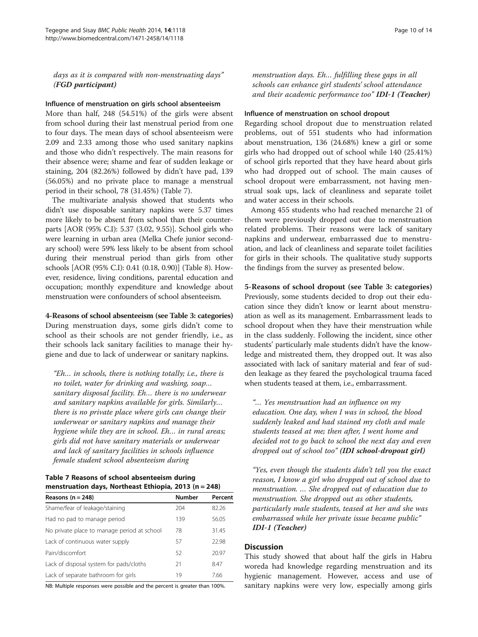days as it is compared with non-menstruating days" (FGD participant)

# Influence of menstruation on girls school absenteeism

More than half, 248 (54.51%) of the girls were absent from school during their last menstrual period from one to four days. The mean days of school absenteeism were 2.09 and 2.33 among those who used sanitary napkins and those who didn't respectively. The main reasons for their absence were; shame and fear of sudden leakage or staining, 204 (82.26%) followed by didn't have pad, 139 (56.05%) and no private place to manage a menstrual period in their school, 78 (31.45%) (Table 7).

The multivariate analysis showed that students who didn't use disposable sanitary napkins were 5.37 times more likely to be absent from school than their counterparts [AOR (95% C.I): 5.37 (3.02, 9.55)]. School girls who were learning in urban area (Melka Chefe junior secondary school) were 59% less likely to be absent from school during their menstrual period than girls from other schools [AOR (95% C.I): 0.41 (0.18, 0.90)] (Table [8\)](#page-10-0). However, residence, living conditions, parental education and occupation; monthly expenditure and knowledge about menstruation were confounders of school absenteeism.

4-Reasons of school absenteeism (see Table [3:](#page-4-0) categories) During menstruation days, some girls didn't come to school as their schools are not gender friendly, i.e., as their schools lack sanitary facilities to manage their hygiene and due to lack of underwear or sanitary napkins.

"Eh… in schools, there is nothing totally; i.e., there is no toilet, water for drinking and washing, soap… sanitary disposal facility. Eh… there is no underwear and sanitary napkins available for girls. Similarly… there is no private place where girls can change their underwear or sanitary napkins and manage their hygiene while they are in school. Eh… in rural areas; girls did not have sanitary materials or underwear and lack of sanitary facilities in schools influence female student school absenteeism during

# Table 7 Reasons of school absenteeism during menstruation days, Northeast Ethiopia, 2013 (n = 248)

| Reasons $(n = 248)$                         | <b>Number</b> | Percent |
|---------------------------------------------|---------------|---------|
| Shame/fear of leakage/staining              | 204           | 82.26   |
| Had no pad to manage period                 | 139           | 56.05   |
| No private place to manage period at school | 78            | 31.45   |
| Lack of continuous water supply             | 57            | 22.98   |
| Pain/discomfort                             | 52            | 20.97   |
| Lack of disposal system for pads/cloths     | 21            | 8.47    |
| Lack of separate bathroom for girls         | 19            | 7.66    |

NB: Multiple responses were possible and the percent is greater than 100%.

menstruation days. Eh… fulfilling these gaps in all schools can enhance girl students' school attendance and their academic performance too" IDI-1 (Teacher)

#### Influence of menstruation on school dropout

Regarding school dropout due to menstruation related problems, out of 551 students who had information about menstruation, 136 (24.68%) knew a girl or some girls who had dropped out of school while 140 (25.41%) of school girls reported that they have heard about girls who had dropped out of school. The main causes of school dropout were embarrassment, not having menstrual soak ups, lack of cleanliness and separate toilet and water access in their schools.

Among 455 students who had reached menarche 21 of them were previously dropped out due to menstruation related problems. Their reasons were lack of sanitary napkins and underwear, embarrassed due to menstruation, and lack of cleanliness and separate toilet facilities for girls in their schools. The qualitative study supports the findings from the survey as presented below.

5-Reasons of school dropout (see Table [3](#page-4-0): categories) Previously, some students decided to drop out their education since they didn't know or learnt about menstruation as well as its management. Embarrassment leads to school dropout when they have their menstruation while in the class suddenly. Following the incident, since other students' particularly male students didn't have the knowledge and mistreated them, they dropped out. It was also associated with lack of sanitary material and fear of sudden leakage as they feared the psychological trauma faced when students teased at them, i.e., embarrassment.

"… Yes menstruation had an influence on my education. One day, when I was in school, the blood suddenly leaked and had stained my cloth and male students teased at me; then after, I went home and decided not to go back to school the next day and even dropped out of school too" (IDI school-dropout girl)

"Yes, even though the students didn't tell you the exact reason, I know a girl who dropped out of school due to menstruation. … She dropped out of education due to menstruation. She dropped out as other students, particularly male students, teased at her and she was embarrassed while her private issue became public" IDI-1 (Teacher)

# **Discussion**

This study showed that about half the girls in Habru woreda had knowledge regarding menstruation and its hygienic management. However, access and use of sanitary napkins were very low, especially among girls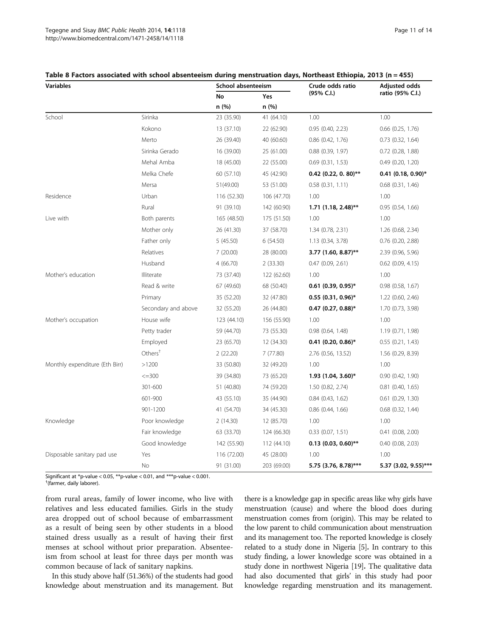| <b>Variables</b>               |                     | School absenteeism |             | Crude odds ratio       | <b>Adjusted odds</b>  |
|--------------------------------|---------------------|--------------------|-------------|------------------------|-----------------------|
|                                |                     | No                 | Yes         | (95% C.I.)             | ratio (95% C.I.)      |
|                                |                     | n (%)              | n(%)        |                        |                       |
| School                         | Sirinka             | 23 (35.90)         | 41 (64.10)  | 1.00                   | 1.00                  |
|                                | Kokono              | 13 (37.10)         | 22 (62.90)  | 0.95 (0.40, 2.23)      | $0.66$ $(0.25, 1.76)$ |
|                                | Merto               | 26 (39.40)         | 40 (60.60)  | 0.86 (0.42, 1.76)      | $0.73$ $(0.32, 1.64)$ |
|                                | Sirinka Gerado      | 16 (39.00)         | 25 (61.00)  | 0.88(0.39, 1.97)       | 0.72 (0.28, 1.88)     |
|                                | Mehal Amba          | 18 (45.00)         | 22 (55.00)  | 0.69(0.31, 1.53)       | 0.49(0.20, 1.20)      |
|                                | Melka Chefe         | 60 (57.10)         | 45 (42.90)  | $0.42$ (0.22, 0. 80)** | $0.41$ (0.18, 0.90)*  |
|                                | Mersa               | 51(49.00)          | 53 (51.00)  | 0.58(0.31, 1.11)       | $0.68$ $(0.31, 1.46)$ |
| Residence                      | Urban               | 116 (52.30)        | 106 (47.70) | 1.00                   | 1.00                  |
|                                | Rural               | 91 (39.10)         | 142 (60.90) | $1.71$ (1.18, 2.48)**  | 0.95(0.54, 1.66)      |
| Live with                      | Both parents        | 165 (48.50)        | 175 (51.50) | 1.00                   | 1.00                  |
|                                | Mother only         | 26 (41.30)         | 37 (58.70)  | 1.34 (0.78, 2.31)      | 1.26 (0.68, 2.34)     |
|                                | Father only         | 5(45.50)           | 6(54.50)    | 1.13 (0.34, 3.78)      | $0.76$ $(0.20, 2.88)$ |
|                                | Relatives           | 7(20.00)           | 28 (80.00)  | 3.77 (1.60, 8.87)**    | 2.39 (0.96, 5.96)     |
|                                | Husband             | 4(66.70)           | 2(33.30)    | $0.47$ (0.09, 2.61)    | $0.62$ (0.09, 4.15)   |
| Mother's education             | Illiterate          | 73 (37.40)         | 122 (62.60) | 1.00                   | 1.00                  |
|                                | Read & write        | 67 (49.60)         | 68 (50.40)  | $0.61$ (0.39, 0.95)*   | 0.98 (0.58, 1.67)     |
|                                | Primary             | 35 (52.20)         | 32 (47.80)  | $0.55$ (0.31, 0.96)*   | $1.22$ (0.60, 2.46)   |
|                                | Secondary and above | 32 (55.20)         | 26 (44.80)  | $0.47$ (0.27, 0.88)*   | 1.70 (0.73, 3.98)     |
| Mother's occupation            | House wife          | 123 (44.10)        | 156 (55.90) | 1.00                   | 1.00                  |
|                                | Petty trader        | 59 (44.70)         | 73 (55.30)  | 0.98 (0.64, 1.48)      | 1.19(0.71, 1.98)      |
|                                | Employed            | 23 (65.70)         | 12 (34.30)  | $0.41$ (0.20, 0.86)*   | 0.55(0.21, 1.43)      |
|                                | Others $†$          | 2(22.20)           | 7(77.80)    | 2.76 (0.56, 13.52)     | 1.56 (0.29, 8.39)     |
| Monthly expenditure (Eth Birr) | >1200               | 33 (50.80)         | 32 (49.20)  | 1.00                   | 1.00                  |
|                                | $\leq$ = 300        | 39 (34.80)         | 73 (65.20)  | 1.93 (1.04, 3.60)*     | $0.90$ $(0.42, 1.90)$ |
|                                | 301-600             | 51 (40.80)         | 74 (59.20)  | 1.50 (0.82, 2.74)      | $0.81$ (0.40, 1.65)   |
|                                | 601-900             | 43 (55.10)         | 35 (44.90)  | $0.84$ (0.43, 1.62)    | $0.61$ $(0.29, 1.30)$ |
|                                | 901-1200            | 41 (54.70)         | 34 (45.30)  | $0.86$ $(0.44, 1.66)$  | $0.68$ $(0.32, 1.44)$ |
| Knowledge                      | Poor knowledge      | 2(14.30)           | 12 (85.70)  | 1.00                   | 1.00                  |
|                                | Fair knowledge      | 63 (33.70)         | 124 (66.30) | 0.33(0.07, 1.51)       | $0.41$ $(0.08, 2.00)$ |
|                                | Good knowledge      | 142 (55.90)        | 112 (44.10) | $0.13$ (0.03, 0.60)**  | $0.40$ $(0.08, 2.03)$ |
| Disposable sanitary pad use    | Yes                 | 116 (72.00)        | 45 (28.00)  | 1.00                   | 1.00                  |
|                                | No                  | 91 (31.00)         | 203 (69.00) | 5.75 (3.76, 8.78)***   | 5.37 (3.02, 9.55)***  |

#### <span id="page-10-0"></span>Table 8 Factors associated with school absenteeism during menstruation days, Northeast Ethiopia, 2013 (n = 455)

Significant at \*p-value < 0.05, \*\*p-value < 0.01, and \*\*\*p-value < 0.001. † (farmer, daily laborer).

from rural areas, family of lower income, who live with relatives and less educated families. Girls in the study area dropped out of school because of embarrassment as a result of being seen by other students in a blood stained dress usually as a result of having their first menses at school without prior preparation. Absenteeism from school at least for three days per month was common because of lack of sanitary napkins.

In this study above half (51.36%) of the students had good knowledge about menstruation and its management. But

there is a knowledge gap in specific areas like why girls have menstruation (cause) and where the blood does during menstruation comes from (origin). This may be related to the low parent to child communication about menstruation and its management too. The reported knowledge is closely related to a study done in Nigeria [\[5\]](#page-12-0). In contrary to this study finding, a lower knowledge score was obtained in a study done in northwest Nigeria [\[19](#page-13-0)]. The qualitative data had also documented that girls' in this study had poor knowledge regarding menstruation and its management.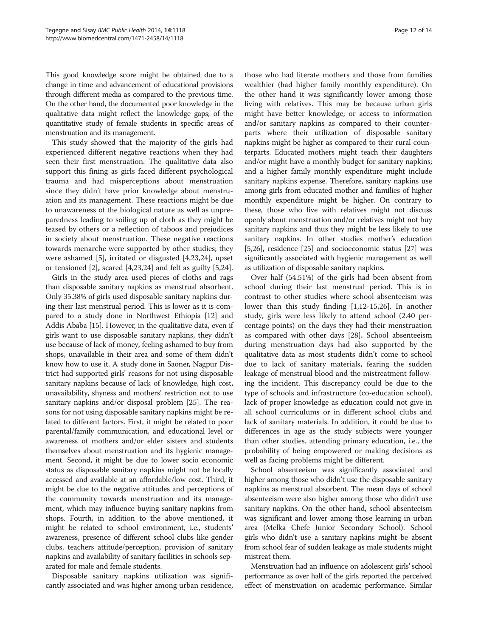This good knowledge score might be obtained due to a change in time and advancement of educational provisions through different media as compared to the previous time. On the other hand, the documented poor knowledge in the qualitative data might reflect the knowledge gaps; of the quantitative study of female students in specific areas of menstruation and its management.

This study showed that the majority of the girls had experienced different negative reactions when they had seen their first menstruation. The qualitative data also support this fining as girls faced different psychological trauma and had misperceptions about menstruation since they didn't have prior knowledge about menstruation and its management. These reactions might be due to unawareness of the biological nature as well as unpreparedness leading to soiling up of cloth as they might be teased by others or a reflection of taboos and prejudices in society about menstruation. These negative reactions towards menarche were supported by other studies; they were ashamed [[5](#page-12-0)], irritated or disgusted [[4,](#page-12-0)[23,24\]](#page-13-0), upset or tensioned [\[2\]](#page-12-0), scared [\[4](#page-12-0),[23,24](#page-13-0)] and felt as guilty [\[5](#page-12-0)[,24](#page-13-0)].

Girls in the study area used pieces of cloths and rags than disposable sanitary napkins as menstrual absorbent. Only 35.38% of girls used disposable sanitary napkins during their last menstrual period. This is lower as it is compared to a study done in Northwest Ethiopia [\[12\]](#page-13-0) and Addis Ababa [\[15\]](#page-13-0). However, in the qualitative data, even if girls want to use disposable sanitary napkins, they didn't use because of lack of money, feeling ashamed to buy from shops, unavailable in their area and some of them didn't know how to use it. A study done in Saoner, Nagpur District had supported girls' reasons for not using disposable sanitary napkins because of lack of knowledge, high cost, unavailability, shyness and mothers' restriction not to use sanitary napkins and/or disposal problem [[25](#page-13-0)]. The reasons for not using disposable sanitary napkins might be related to different factors. First, it might be related to poor parental/family communication, and educational level or awareness of mothers and/or elder sisters and students themselves about menstruation and its hygienic management. Second, it might be due to lower socio economic status as disposable sanitary napkins might not be locally accessed and available at an affordable/low cost. Third, it might be due to the negative attitudes and perceptions of the community towards menstruation and its management, which may influence buying sanitary napkins from shops. Fourth, in addition to the above mentioned, it might be related to school environment, i.e., students' awareness, presence of different school clubs like gender clubs, teachers attitude/perception, provision of sanitary napkins and availability of sanitary facilities in schools separated for male and female students.

Disposable sanitary napkins utilization was significantly associated and was higher among urban residence,

those who had literate mothers and those from families wealthier (had higher family monthly expenditure). On the other hand it was significantly lower among those living with relatives. This may be because urban girls might have better knowledge; or access to information and/or sanitary napkins as compared to their counterparts where their utilization of disposable sanitary napkins might be higher as compared to their rural counterparts. Educated mothers might teach their daughters and/or might have a monthly budget for sanitary napkins; and a higher family monthly expenditure might include sanitary napkins expense. Therefore, sanitary napkins use among girls from educated mother and families of higher monthly expenditure might be higher. On contrary to these, those who live with relatives might not discuss openly about menstruation and/or relatives might not buy sanitary napkins and thus they might be less likely to use sanitary napkins. In other studies mother's education [[5,](#page-12-0)[26](#page-13-0)], residence [\[25\]](#page-13-0) and socioeconomic status [\[27\]](#page-13-0) was significantly associated with hygienic management as well as utilization of disposable sanitary napkins.

Over half (54.51%) of the girls had been absent from school during their last menstrual period. This is in contrast to other studies where school absenteeism was lower than this study finding [\[1](#page-12-0)[,12](#page-13-0)-[15,26\]](#page-13-0). In another study, girls were less likely to attend school (2.40 percentage points) on the days they had their menstruation as compared with other days [[28\]](#page-13-0). School absenteeism during menstruation days had also supported by the qualitative data as most students didn't come to school due to lack of sanitary materials, fearing the sudden leakage of menstrual blood and the mistreatment following the incident. This discrepancy could be due to the type of schools and infrastructure (co-education school), lack of proper knowledge as education could not give in all school curriculums or in different school clubs and lack of sanitary materials. In addition, it could be due to differences in age as the study subjects were younger than other studies, attending primary education, i.e., the probability of being empowered or making decisions as well as facing problems might be different.

School absenteeism was significantly associated and higher among those who didn't use the disposable sanitary napkins as menstrual absorbent. The mean days of school absenteeism were also higher among those who didn't use sanitary napkins. On the other hand, school absenteeism was significant and lower among those learning in urban area (Melka Chefe Junior Secondary School). School girls who didn't use a sanitary napkins might be absent from school fear of sudden leakage as male students might mistreat them.

Menstruation had an influence on adolescent girls' school performance as over half of the girls reported the perceived effect of menstruation on academic performance. Similar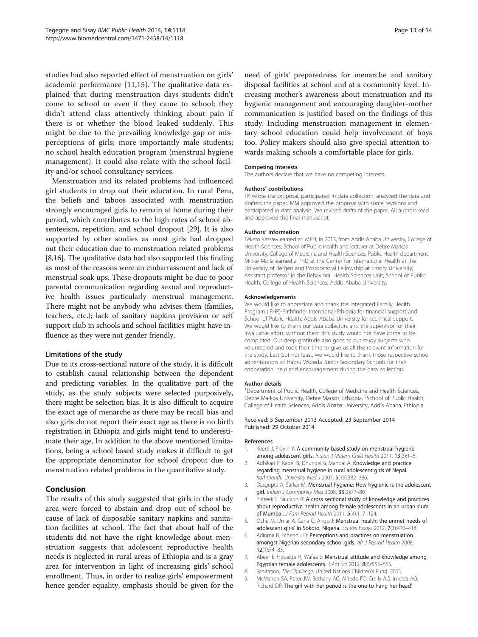<span id="page-12-0"></span>studies had also reported effect of menstruation on girls' academic performance [[11](#page-13-0),[15\]](#page-13-0). The qualitative data explained that during menstruation days students didn't come to school or even if they came to school; they didn't attend class attentively thinking about pain if there is or whether the blood leaked suddenly. This might be due to the prevailing knowledge gap or misperceptions of girls; more importantly male students; no school health education program (menstrual hygiene management). It could also relate with the school facility and/or school consultancy services.

Menstruation and its related problems had influenced girl students to drop out their education. In rural Peru, the beliefs and taboos associated with menstruation strongly encouraged girls to remain at home during their period, which contributes to the high rates of school absenteeism, repetition, and school dropout [[29\]](#page-13-0). It is also supported by other studies as most girls had dropped out their education due to menstruation related problems [8,[16](#page-13-0)]. The qualitative data had also supported this finding as most of the reasons were an embarrassment and lack of menstrual soak ups. These dropouts might be due to poor parental communication regarding sexual and reproductive health issues particularly menstrual management. There might not be anybody who advises them (families, teachers, etc.); lack of sanitary napkins provision or self support club in schools and school facilities might have influence as they were not gender friendly.

#### Limitations of the study

Due to its cross-sectional nature of the study, it is difficult to establish causal relationship between the dependent and predicting variables. In the qualitative part of the study, as the study subjects were selected purposively, there might be selection bias. It is also difficult to acquire the exact age of menarche as there may be recall bias and also girls do not report their exact age as there is no birth registration in Ethiopia and girls might tend to underestimate their age. In addition to the above mentioned limitations, being a school based study makes it difficult to get the appropriate denominator for school dropout due to menstruation related problems in the quantitative study.

# Conclusion

The results of this study suggested that girls in the study area were forced to abstain and drop out of school because of lack of disposable sanitary napkins and sanitation facilities at school. The fact that about half of the students did not have the right knowledge about menstruation suggests that adolescent reproductive health needs is neglected in rural areas of Ethiopia and is a gray area for intervention in light of increasing girls' school enrollment. Thus, in order to realize girls' empowerment hence gender equality, emphasis should be given for the need of girls' preparedness for menarche and sanitary disposal facilities at school and at a community level. Increasing mother's awareness about menstruation and its hygienic management and encouraging daughter-mother communication is justified based on the findings of this study. Including menstruation management in elementary school education could help involvement of boys too. Policy makers should also give special attention towards making schools a comfortable place for girls.

#### Competing interests

The authors declare that we have no competing interests.

#### Authors' contributions

TK wrote the proposal, participated in data collection, analyzed the data and drafted the paper. MM approved the proposal with some revisions and participated in data analysis. We revised drafts of the paper. All authors read and approved the final manuscript.

#### Authors' information

Teketo Kassaw earned an MPH, in 2013, from Addis Ababa University, College of Health Sciences, School of Public Health and lecturer at Debre Markos University, College of Medicine and Health Sciences, Public Health department. Mitike Molla earned a PhD at the Center for International Health at the University of Bergen and Postdoctoral Fellowship at Emory University; Assistant professor in the Behavioral Health Sciences Unit, School of Public Health, College of Health Sciences, Addis Ababa University.

#### Acknowledgements

We would like to appreciate and thank the Integrated Family Health Program (IFHP)-Pathfinder Intentional-Ethiopia for financial support and School of Public Health, Addis Ababa University for technical support. We would like to thank our data collectors and the supervisor for their invaluable effort; without them this study would not have come to be completed. Our deep gratitude also goes to our study subjects who volunteered and took their time to give us all the relevant information for the study. Last but not least, we would like to thank those respective school administrators of Habru Woreda Junior Secondary Schools for their cooperation, help and encouragement during the data collection.

#### Author details

<sup>1</sup>Department of Public Health, College of Medicine and Health Sciences Debre Markos University, Debre Markos, Ethiopia. <sup>2</sup>School of Public Health College of Health Sciences, Addis Ababa University, Addis Ababa, Ethiopia.

#### Received: 5 September 2013 Accepted: 23 September 2014 Published: 29 October 2014

#### References

- Keerti J, Pravin Y: A community based study on menstrual hygiene among adolescent girls. Indian J Matern Child Health 2011, 13(3):1-6.
- 2. Adhikari P, Kadel B, Dhungel S, Mandal A: Knowledge and practice regarding menstrual hygiene in rural adolescent girls of Nepal. Kathmandu University Med J 2007, 5(19):382–386.
- 3. Dasgupta A, Sarkar M: Menstrual hygiene: How hygienic is the adolescent girl. Indian J Community Med 2008, 33(2):77-80.
- 4. Prateek S, Saurabh R: A cross sectional study of knowledge and practices about reproductive health among female adolescents in an urban slum of Mumbai. J Fam Reprod Health 2011, 5(4):117–124.
- 5. Oche M, Umar A, Gana G, Ango J: Menstrual health: the unmet needs of adolescent girls' in Sokoto, Nigeria. Sci Res Essays 2012, 7(3):410–418.
- 6. Adinma B, Echendu D: Perceptions and practices on menstruation amongst Nigerian secondary school girls. Afr J Reprod Health 2008, 12(1):74–83.
- 7. Abeer E, Houaida H, Wafaa E: Menstrual attitude and knowledge among Egyptian female adolescents. J Am Sci 2012, 8(6):555-565.
- 8. Sanitation: The Challenge. United Nations Children's Fund; 2005.
- 9. McMahon SA, Peter JW, Bethany AC, Alfredo FO, Emily AO, Imelda AO, Richard DR: The girl with her period is the one to hang her head'